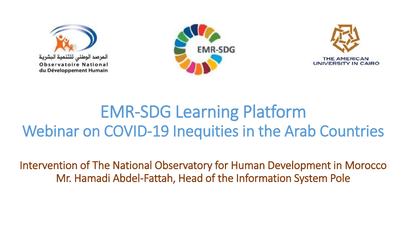





# EMR-SDG Learning Platform Webinar on COVID-19 Inequities in the Arab Countries

Intervention of The National Observatory for Human Development in Morocco Mr. Hamadi Abdel-Fattah, Head of the Information System Pole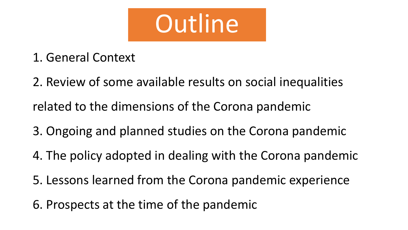

- 1. General Context
- 2. Review of some available results on social inequalities
- related to the dimensions of the Corona pandemic
- 3. Ongoing and planned studies on the Corona pandemic
- 4. The policy adopted in dealing with the Corona pandemic
- 5. Lessons learned from the Corona pandemic experience
- 6. Prospects at the time of the pandemic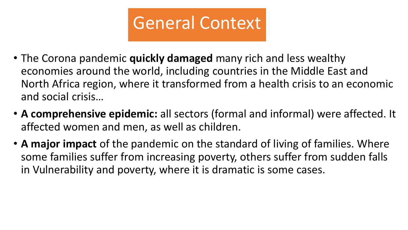

- The Corona pandemic **quickly damaged** many rich and less wealthy economies around the world, including countries in the Middle East and North Africa region, where it transformed from a health crisis to an economic and social crisis…
- **A comprehensive epidemic:** all sectors (formal and informal) were affected. It affected women and men, as well as children.
- **A major impact** of the pandemic on the standard of living of families. Where some families suffer from increasing poverty, others suffer from sudden falls in Vulnerability and poverty, where it is dramatic is some cases.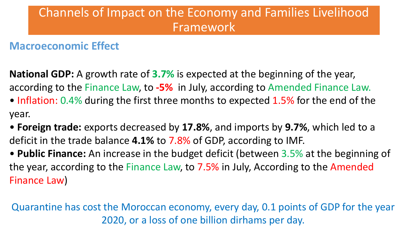## Channels of Impact on the Economy and Families Livelihood Framework

### **Macroeconomic Effect**

**National GDP:** A growth rate of **3.7%** is expected at the beginning of the year, according to the Finance Law, to **-5%** in July, according to Amended Finance Law.

- Inflation: 0.4% during the first three months to expected 1.5% for the end of the year.
- **Foreign trade:** exports decreased by **17.8%**, and imports by **9.7%**, which led to a deficit in the trade balance **4.1%** to 7.8% of GDP, according to IMF.
- **Public Finance:** An increase in the budget deficit (between 3.5% at the beginning of the year, according to the Finance Law, to 7.5% in July, According to the Amended Finance Law)

Quarantine has cost the Moroccan economy, every day, 0.1 points of GDP for the year 2020, or a loss of one billion dirhams per day.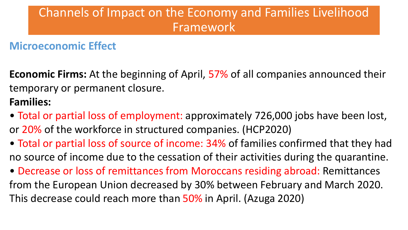## Channels of Impact on the Economy and Families Livelihood Framework

### **Microeconomic Effect**

**Economic Firms:** At the beginning of April, 57% of all companies announced their temporary or permanent closure.

### **Families:**

- Total or partial loss of employment: approximately 726,000 jobs have been lost, or 20% of the workforce in structured companies. (HCP2020)
- Total or partial loss of source of income: 34% of families confirmed that they had no source of income due to the cessation of their activities during the quarantine.
- Decrease or loss of remittances from Moroccans residing abroad: Remittances from the European Union decreased by 30% between February and March 2020. This decrease could reach more than 50% in April. (Azuga 2020)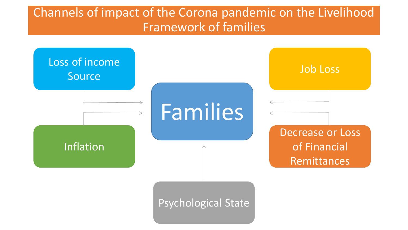## Channels of impact of the Corona pandemic on the Livelihood Framework of families

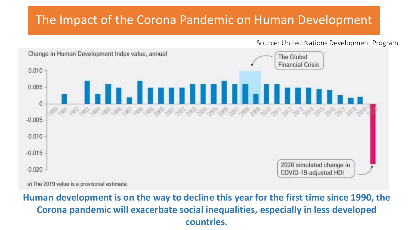### The Impact of the Corona Pandemic on Human Development

Source: United Nations Development Program



**Human development is on the way to decline this year for the first time since 1990, the Corona pandemic will exacerbate social inequalities, especially in less developed countries.**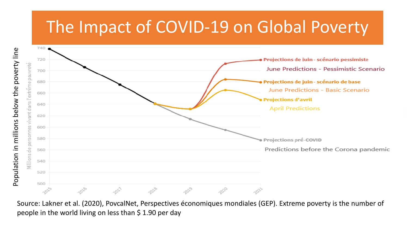# The Impact of COVID-19 on Global Poverty



Source: Lakner et al. (2020), PovcalNet, Perspectives économiques mondiales (GEP). Extreme poverty is the number of people in the world living on less than \$ 1.90 per day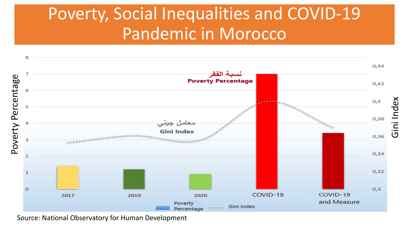# Poverty, Social Inequalities and COVID-19 Pandemic in Morocco



Source: National Observatory for Human Development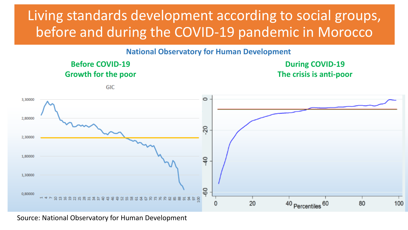# Living standards development according to social groups, before and during the COVID-19 pandemic in Morocco

**National Observatory for Human Development**



Source: National Observatory for Human Development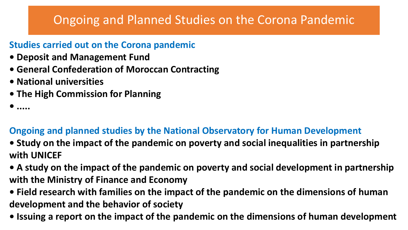## Ongoing and Planned Studies on the Corona Pandemic

#### **Studies carried out on the Corona pandemic**

- **Deposit and Management Fund**
- **General Confederation of Moroccan Contracting**
- **National universities**
- **The High Commission for Planning**
- **.....**

#### **Ongoing and planned studies by the National Observatory for Human Development**

- **Study on the impact of the pandemic on poverty and social inequalities in partnership with UNICEF**
- **A study on the impact of the pandemic on poverty and social development in partnership with the Ministry of Finance and Economy**
- **Field research with families on the impact of the pandemic on the dimensions of human development and the behavior of society**
- **Issuing a report on the impact of the pandemic on the dimensions of human development**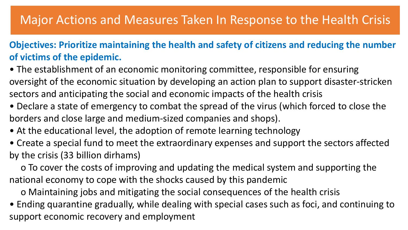### Major Actions and Measures Taken In Response to the Health Crisis

#### **Objectives: Prioritize maintaining the health and safety of citizens and reducing the number of victims of the epidemic.**

- The establishment of an economic monitoring committee, responsible for ensuring oversight of the economic situation by developing an action plan to support disaster-stricken sectors and anticipating the social and economic impacts of the health crisis
- Declare a state of emergency to combat the spread of the virus (which forced to close the borders and close large and medium-sized companies and shops).
- At the educational level, the adoption of remote learning technology
- Create a special fund to meet the extraordinary expenses and support the sectors affected by the crisis (33 billion dirhams)

o To cover the costs of improving and updating the medical system and supporting the national economy to cope with the shocks caused by this pandemic

o Maintaining jobs and mitigating the social consequences of the health crisis

• Ending quarantine gradually, while dealing with special cases such as foci, and continuing to support economic recovery and employment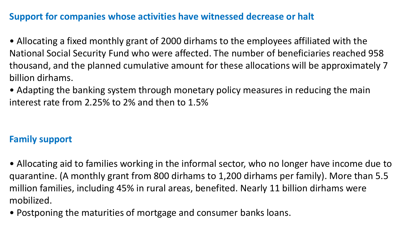#### **Support for companies whose activities have witnessed decrease or halt**

- Allocating a fixed monthly grant of 2000 dirhams to the employees affiliated with the National Social Security Fund who were affected. The number of beneficiaries reached 958 thousand, and the planned cumulative amount for these allocations will be approximately 7 billion dirhams.
- Adapting the banking system through monetary policy measures in reducing the main interest rate from 2.25% to 2% and then to 1.5%

#### **Family support**

- Allocating aid to families working in the informal sector, who no longer have income due to quarantine. (A monthly grant from 800 dirhams to 1,200 dirhams per family). More than 5.5 million families, including 45% in rural areas, benefited. Nearly 11 billion dirhams were mobilized.
- Postponing the maturities of mortgage and consumer banks loans.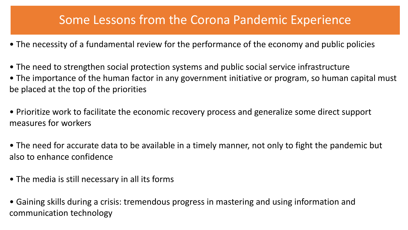### Some Lessons from the Corona Pandemic Experience

- The necessity of a fundamental review for the performance of the economy and public policies
- The need to strengthen social protection systems and public social service infrastructure
- The importance of the human factor in any government initiative or program, so human capital must be placed at the top of the priorities
- Prioritize work to facilitate the economic recovery process and generalize some direct support measures for workers
- The need for accurate data to be available in a timely manner, not only to fight the pandemic but also to enhance confidence
- The media is still necessary in all its forms
- Gaining skills during a crisis: tremendous progress in mastering and using information and communication technology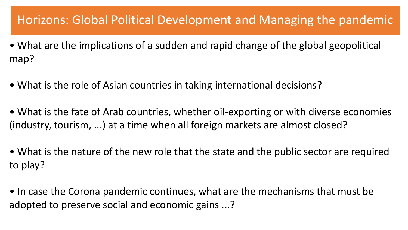### Horizons: Global Political Development and Managing the pandemic

- What are the implications of a sudden and rapid change of the global geopolitical map?
- What is the role of Asian countries in taking international decisions?
- What is the fate of Arab countries, whether oil-exporting or with diverse economies (industry, tourism, ...) at a time when all foreign markets are almost closed?
- What is the nature of the new role that the state and the public sector are required to play?
- In case the Corona pandemic continues, what are the mechanisms that must be adopted to preserve social and economic gains ...?